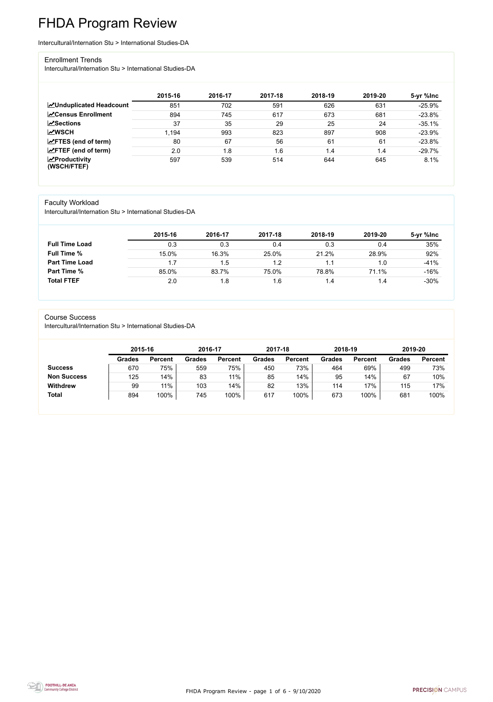FHDA Program Review - page 1 of 6 - 9/10/2020



# FHDA Program Review

Intercultural/Internation Stu > International Studies-DA

#### Enrollment Trends

Intercultural/Internation Stu > International Studies-DA

|                                          | 2015-16 | 2016-17 | 2017-18 | 2018-19 | 2019-20 | 5-yr %lnc |
|------------------------------------------|---------|---------|---------|---------|---------|-----------|
| <b>ZUnduplicated Headcount</b>           | 851     | 702     | 591     | 626     | 631     | $-25.9%$  |
| <b>∠</b> Census Enrollment               | 894     | 745     | 617     | 673     | 681     | $-23.8%$  |
| $\sqrt{\frac{8}{2}}$ Sections            | 37      | 35      | 29      | 25      | 24      | $-35.1%$  |
| <b>MWSCH</b>                             | 1,194   | 993     | 823     | 897     | 908     | $-23.9%$  |
| $\angle$ FTES (end of term)              | 80      | 67      | 56      | 61      | 61      | $-23.8%$  |
| $\angle$ FTEF (end of term)              | 2.0     | 1.8     | 1.6     | 1.4     | 1.4     | $-29.7%$  |
| $\mathbf{Z}$ Productivity<br>(WSCH/FTEF) | 597     | 539     | 514     | 644     | 645     | 8.1%      |

### Faculty Workload

Intercultural/Internation Stu > International Studies-DA

|                       | 2015-16 | 2016-17 | 2017-18 | 2018-19 | 2019-20 | 5-yr %lnc |
|-----------------------|---------|---------|---------|---------|---------|-----------|
| <b>Full Time Load</b> | 0.3     | 0.3     | 0.4     | 0.3     | 0.4     | 35%       |
| <b>Full Time %</b>    | 15.0%   | 16.3%   | 25.0%   | 21.2%   | 28.9%   | 92%       |
| <b>Part Time Load</b> | 1.7     | 1.5     | 1.2     |         | 1.0     | $-41%$    |
| <b>Part Time %</b>    | 85.0%   | 83.7%   | 75.0%   | 78.8%   | 71.1%   | $-16%$    |
| <b>Total FTEF</b>     | 2.0     | 1.8     | 1.6     | . .4    | 1.4     | $-30%$    |

#### Course Success

Intercultural/Internation Stu > International Studies-DA

|                    | 2015-16       |                | 2016-17       |                | 2017-18       |                | 2018-19       |                | 2019-20       |                |
|--------------------|---------------|----------------|---------------|----------------|---------------|----------------|---------------|----------------|---------------|----------------|
|                    | <b>Grades</b> | <b>Percent</b> | <b>Grades</b> | <b>Percent</b> | <b>Grades</b> | <b>Percent</b> | <b>Grades</b> | <b>Percent</b> | <b>Grades</b> | <b>Percent</b> |
| <b>Success</b>     | 670           | 75%            | 559           | 75%            | 450           | 73%            | 464           | 69%            | 499           | 73%            |
| <b>Non Success</b> | 125           | 14%            | 83            | $11\%$         | 85            | 14%            | 95            | 14%            | 67            | 10%            |
| <b>Withdrew</b>    | 99            | $11\%$         | 103           | 14%            | 82            | 13%            | 114           | 17%            | 115           | 17%            |
| <b>Total</b>       | 894           | 100%           | 745           | 100%           | 617           | 100%           | 673           | 100%           | 681           | 100%           |
|                    |               |                |               |                |               |                |               |                |               |                |

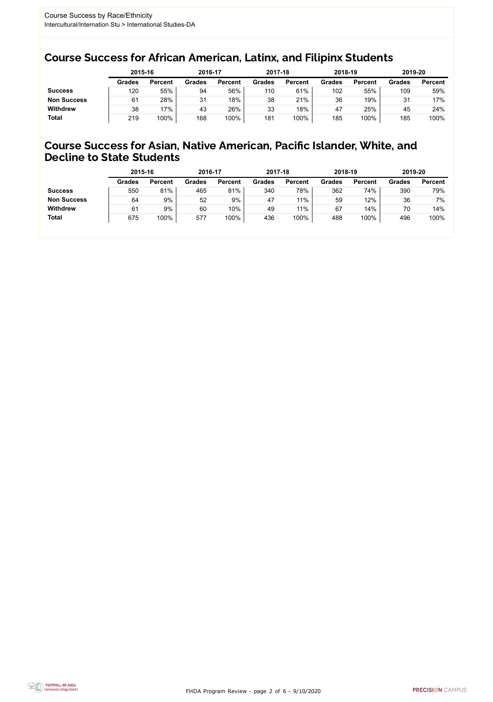FHDA Program Review - page 2 of 6 - 9/10/2020



### Course Success for African American, Latinx, and Filipinx Students

### Course Success for Asian, Native American, Pacific Islander, White, and Decline to State Students

|                    | 2015-16       |                | 2016-17       |                | 2017-18       |                | 2018-19       |                | 2019-20       |                |
|--------------------|---------------|----------------|---------------|----------------|---------------|----------------|---------------|----------------|---------------|----------------|
|                    | <b>Grades</b> | <b>Percent</b> | <b>Grades</b> | <b>Percent</b> | <b>Grades</b> | <b>Percent</b> | <b>Grades</b> | <b>Percent</b> | <b>Grades</b> | <b>Percent</b> |
| <b>Success</b>     | 120           | 55%            | 94            | 56%            | 110           | 61%            | 102           | 55%            | 109           | 59%            |
| <b>Non Success</b> | 61            | 28%            | 31            | 18%            | 38            | 21%            | 36            | 19%            | 31            | 17%            |
| <b>Withdrew</b>    | 38            | 17%            | 43            | 26%            | 33            | 18%            | 47            | 25%            | 45            | 24%            |
| <b>Total</b>       | 219           | 100%           | 168           | 100%           | 181           | 100%           | 185           | 100%           | 185           | 100%           |

|                    | 2015-16       |                | 2016-17       |                | 2017-18       |                | 2018-19       |                | 2019-20       |                |
|--------------------|---------------|----------------|---------------|----------------|---------------|----------------|---------------|----------------|---------------|----------------|
|                    | <b>Grades</b> | <b>Percent</b> | <b>Grades</b> | <b>Percent</b> | <b>Grades</b> | <b>Percent</b> | <b>Grades</b> | <b>Percent</b> | <b>Grades</b> | <b>Percent</b> |
| <b>Success</b>     | 550           | 81%            | 465           | 81%            | 340           | 78%            | 362           | 74%            | 390           | 79%            |
| <b>Non Success</b> | 64            | 9%             | 52            | 9%             | 47            | 11%            | 59            | 12%            | 36            | 7%             |
| <b>Withdrew</b>    | 61            | 9%             | 60            | 10%            | 49            | 11%            | 67            | 14%            | 70            | 14%            |
| <b>Total</b>       | 675           | 100%           | 577           | 100%           | 436           | 100%           | 488           | 100%           | 496           | 100%           |
|                    |               |                |               |                |               |                |               |                |               |                |

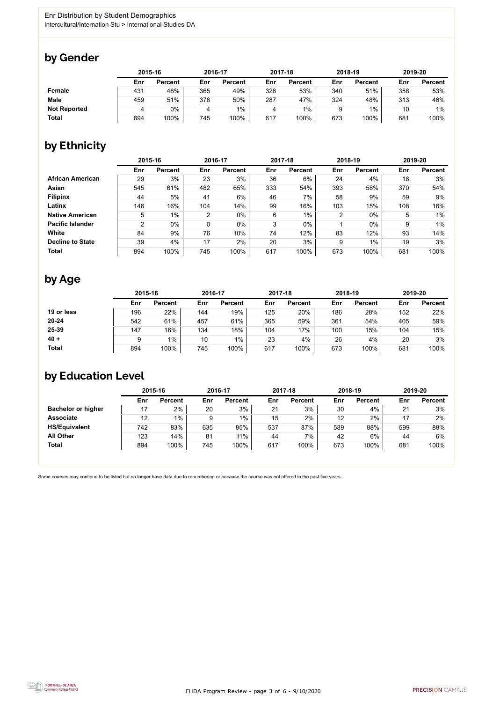

Some courses may continue to be listed but no longer have data due to renumbering or because the course was not offered in the past five years.



## by Gender

|                     |     | 2015-16        |     | 2016-17        |     | 2017-18        | 2018-19 |                | 2019-20 |                |
|---------------------|-----|----------------|-----|----------------|-----|----------------|---------|----------------|---------|----------------|
|                     | Enr | <b>Percent</b> | Enr | <b>Percent</b> | Enr | <b>Percent</b> | Enr     | <b>Percent</b> | Enr     | <b>Percent</b> |
| <b>Female</b>       | 431 | 48%            | 365 | 49%            | 326 | 53%            | 340     | 51%            | 358     | 53%            |
| <b>Male</b>         | 459 | 51%            | 376 | 50%            | 287 | 47%            | 324     | 48%            | 313     | 46%            |
| <b>Not Reported</b> | 4   | $0\%$          |     | $1\%$          |     | $1\%$          | 9       | $1\%$          | 10      | 1%             |
| <b>Total</b>        | 894 | 100%           | 745 | 100%           | 617 | 100%           | 673     | 100%           | 681     | 100%           |

## by Ethnicity

|                         | 2015-16        |                |                | 2016-17        |     | 2017-18        | 2018-19        |                | 2019-20 |                |
|-------------------------|----------------|----------------|----------------|----------------|-----|----------------|----------------|----------------|---------|----------------|
|                         | Enr            | <b>Percent</b> | Enr            | <b>Percent</b> | Enr | <b>Percent</b> | Enr            | <b>Percent</b> | Enr     | <b>Percent</b> |
| <b>African American</b> | 29             | 3%             | 23             | 3%             | 36  | 6%             | 24             | 4%             | 18      | 3%             |
| Asian                   | 545            | 61%            | 482            | 65%            | 333 | 54%            | 393            | 58%            | 370     | 54%            |
| <b>Filipinx</b>         | 44             | 5%             | 41             | 6%             | 46  | 7%             | 58             | 9%             | 59      | 9%             |
| Latinx                  | 146            | 16%            | 104            | 14%            | 99  | 16%            | 103            | 15%            | 108     | 16%            |
| <b>Native American</b>  | 5              | $1\%$          | $\overline{2}$ | $0\%$          | 6   | $1\%$          | $\overline{2}$ | $0\%$          | 5       | 1%             |
| <b>Pacific Islander</b> | $\overline{2}$ | $0\%$          | 0              | $0\%$          | 3   | $0\%$          |                | $0\%$          | 9       | 1%             |
| White                   | 84             | 9%             | 76             | 10%            | 74  | 12%            | 83             | 12%            | 93      | 14%            |
| <b>Decline to State</b> | 39             | 4%             | 17             | 2%             | 20  | 3%             | 9              | $1\%$          | 19      | 3%             |
| <b>Total</b>            | 894            | 100%           | 745            | 100%           | 617 | 100%           | 673            | 100%           | 681     | 100%           |

## by Age

|              | 2015-16 |                |     | 2016-17        |     | 2017-18        |     | 2018-19        |     | 2019-20        |  |
|--------------|---------|----------------|-----|----------------|-----|----------------|-----|----------------|-----|----------------|--|
|              | Enr     | <b>Percent</b> | Enr | <b>Percent</b> | Enr | <b>Percent</b> | Enr | <b>Percent</b> | Enr | <b>Percent</b> |  |
| 19 or less   | 196     | 22%            | 144 | 19%            | 125 | 20%            | 186 | 28%            | 152 | 22%            |  |
| $20 - 24$    | 542     | 61%            | 457 | 61%            | 365 | 59%            | 361 | 54%            | 405 | 59%            |  |
| 25-39        | 147     | 16%            | 134 | 18%            | 104 | 17%            | 100 | 15%            | 104 | 15%            |  |
| $40 +$       | 9       | $1\%$          | 10  | $1\%$          | 23  | 4%             | 26  | 4%             | 20  | 3%             |  |
| <b>Total</b> | 894     | 100%           | 745 | 100%           | 617 | 100%           | 673 | 100%           | 681 | 100%           |  |

# by Education Level

|                           | 2015-16 |                |     | 2016-17        |     | 2017-18        |     | 2018-19        | 2019-20 |                |
|---------------------------|---------|----------------|-----|----------------|-----|----------------|-----|----------------|---------|----------------|
|                           | Enr     | <b>Percent</b> | Enr | <b>Percent</b> | Enr | <b>Percent</b> | Enr | <b>Percent</b> | Enr     | <b>Percent</b> |
| <b>Bachelor or higher</b> | 17      | $2\%$          | 20  | 3%             | 21  | 3%             | 30  | 4%             | 21      | 3%             |
| <b>Associate</b>          | 12      | $1\%$          | 9   | $1\%$          | 15  | 2%             | 12  | 2%             |         | 2%             |
| <b>HS/Equivalent</b>      | 742     | 83%            | 635 | 85%            | 537 | 87%            | 589 | 88%            | 599     | 88%            |
| <b>All Other</b>          | 123     | 14%            | 81  | 11%            | 44  | 7%             | 42  | 6%             | 44      | 6%             |
| <b>Total</b>              | 894     | 100%           | 745 | 100%           | 617 | 100%           | 673 | 100%           | 681     | 100%           |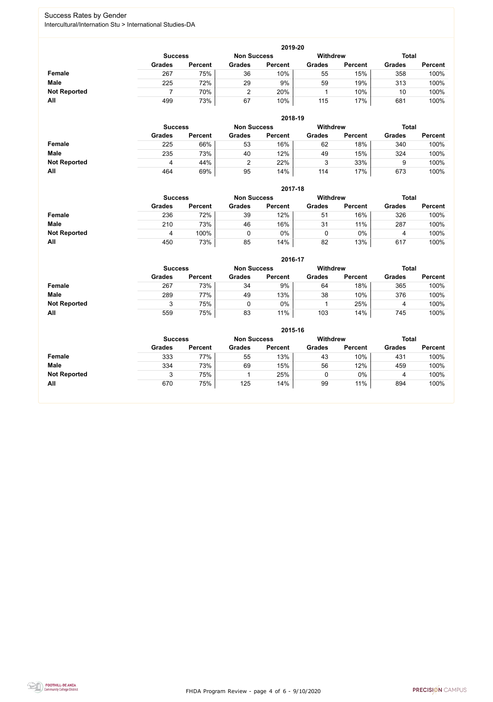FHDA Program Review - page 4 of 6 - 9/10/2020



### Success Rates by Gender Intercultural/Internation Stu > International Studies-DA

|                     | 2019-20       |                                                                         |               |                |               |                |               |                |  |  |  |  |  |
|---------------------|---------------|-------------------------------------------------------------------------|---------------|----------------|---------------|----------------|---------------|----------------|--|--|--|--|--|
|                     |               | <b>Total</b><br><b>Withdrew</b><br><b>Non Success</b><br><b>Success</b> |               |                |               |                |               |                |  |  |  |  |  |
|                     | <b>Grades</b> | <b>Percent</b>                                                          | <b>Grades</b> | <b>Percent</b> | <b>Grades</b> | <b>Percent</b> | <b>Grades</b> | <b>Percent</b> |  |  |  |  |  |
| <b>Female</b>       | 267           | 75%                                                                     | 36            | 10%            | 55            | 15%            | 358           | 100%           |  |  |  |  |  |
| <b>Male</b>         | 225           | 72%                                                                     | 29            | 9%             | 59            | 19%            | 313           | 100%           |  |  |  |  |  |
| <b>Not Reported</b> |               | 70%                                                                     |               | 20%            |               | 10%            | 10            | 100%           |  |  |  |  |  |
| All                 | 499           | 73%                                                                     | 67            | 10%            | 115           | 17%            | 681           | 100%           |  |  |  |  |  |

|                     |                |                |                    | 2018-19        |                 |                |               |                |
|---------------------|----------------|----------------|--------------------|----------------|-----------------|----------------|---------------|----------------|
|                     | <b>Success</b> |                | <b>Non Success</b> |                | <b>Withdrew</b> |                | <b>Total</b>  |                |
|                     | <b>Grades</b>  | <b>Percent</b> | <b>Grades</b>      | <b>Percent</b> | <b>Grades</b>   | <b>Percent</b> | <b>Grades</b> | <b>Percent</b> |
| <b>Female</b>       | 225            | 66%            | 53                 | 16%            | 62              | 18%            | 340           | 100%           |
| <b>Male</b>         | 235            | 73%            | 40                 | 12%            | 49              | 15%            | 324           | 100%           |
| <b>Not Reported</b> | 4              | 44%            |                    | 22%            | 3               | 33%            |               | 100%           |
| All                 | 464            | 69%            | 95                 | 14%            | 114             | 17%            | 673           | 100%           |

|                     |               | 2017-18                              |               |                |               |                 |               |                |  |  |  |  |  |  |
|---------------------|---------------|--------------------------------------|---------------|----------------|---------------|-----------------|---------------|----------------|--|--|--|--|--|--|
|                     |               | <b>Non Success</b><br><b>Success</b> |               |                |               | <b>Withdrew</b> | <b>Total</b>  |                |  |  |  |  |  |  |
|                     | <b>Grades</b> | <b>Percent</b>                       | <b>Grades</b> | <b>Percent</b> | <b>Grades</b> | <b>Percent</b>  | <b>Grades</b> | <b>Percent</b> |  |  |  |  |  |  |
| <b>Female</b>       | 236           | 72%                                  | 39            | 12%            | 51            | 16%             | 326           | 100%           |  |  |  |  |  |  |
| <b>Male</b>         | 210           | 73%                                  | 46            | 16%            | 31            | 11%             | 287           | 100%           |  |  |  |  |  |  |
| <b>Not Reported</b> | 4             | 100%                                 | $\mathbf 0$   | 0%             | 0             | $0\%$           | 4             | 100%           |  |  |  |  |  |  |
| All                 | 450           | 73%                                  | 85            | 14%            | 82            | 13%             | 617           | 100%           |  |  |  |  |  |  |

|                     |               | 2016-17        |               |                |                 |                |               |                |  |  |
|---------------------|---------------|----------------|---------------|----------------|-----------------|----------------|---------------|----------------|--|--|
|                     |               | <b>Success</b> |               |                | <b>Withdrew</b> |                | <b>Total</b>  |                |  |  |
|                     | <b>Grades</b> | <b>Percent</b> | <b>Grades</b> | <b>Percent</b> | <b>Grades</b>   | <b>Percent</b> | <b>Grades</b> | <b>Percent</b> |  |  |
| Female              | 267           | 73%            | 34            | 9%             | 64              | 18%            | 365           | 100%           |  |  |
| <b>Male</b>         | 289           | 77%            | 49            | 13%            | 38              | 10%            | 376           | 100%           |  |  |
| <b>Not Reported</b> |               | 75%            |               | 0%             |                 | 25%            | 4             | 100%           |  |  |
| <b>All</b>          | 559           | 75%            | 83            | 11%            | 103             | 14%            | 745           | 100%           |  |  |

|                     | 2015-16        |                |                    |                |               |                |               |                |
|---------------------|----------------|----------------|--------------------|----------------|---------------|----------------|---------------|----------------|
|                     | <b>Success</b> |                | <b>Non Success</b> |                | Withdrew      | <b>Total</b>   |               |                |
|                     | <b>Grades</b>  | <b>Percent</b> | <b>Grades</b>      | <b>Percent</b> | <b>Grades</b> | <b>Percent</b> | <b>Grades</b> | <b>Percent</b> |
| Female              | 333            | 77%            | 55                 | 13%            | 43            | 10%            | 431           | 100%           |
| <b>Male</b>         | 334            | 73%            | 69                 | 15%            | 56            | 12%            | 459           | 100%           |
| <b>Not Reported</b> | J              | 75%            |                    | 25%            | ν             | $0\%$          | 4             | 100%           |
| All                 | 670            | 75%            | 125                | 14%            | 99            | 11%            | 894           | 100%           |

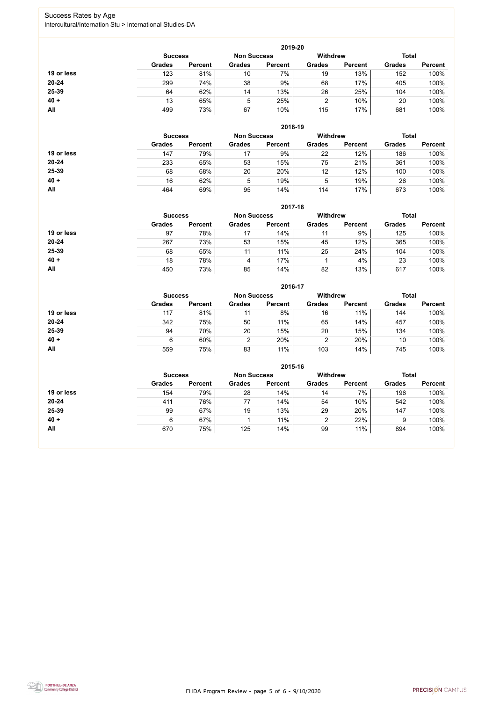FHDA Program Review - page 5 of 6 - 9/10/2020



### Success Rates by Age Intercultural/Internation Stu > International Studies-DA

|            | 2019-20        |                |                    |                |                 |                |               |                |  |
|------------|----------------|----------------|--------------------|----------------|-----------------|----------------|---------------|----------------|--|
|            | <b>Success</b> |                | <b>Non Success</b> |                | <b>Withdrew</b> |                | <b>Total</b>  |                |  |
|            | <b>Grades</b>  | <b>Percent</b> | <b>Grades</b>      | <b>Percent</b> | <b>Grades</b>   | <b>Percent</b> | <b>Grades</b> | <b>Percent</b> |  |
| 19 or less | 123            | 81%            | 10                 | 7%             | 19              | 13%            | 152           | 100%           |  |
| $20 - 24$  | 299            | 74%            | 38                 | 9%             | 68              | 17%            | 405           | 100%           |  |
| 25-39      | 64             | 62%            | 14                 | 13%            | 26              | 25%            | 104           | 100%           |  |
| $40 +$     | 13             | 65%            | 5                  | 25%            |                 | 10%            | 20            | 100%           |  |
| All        | 499            | 73%            | 67                 | 10%            | 115             | 17%            | 681           | 100%           |  |

|            | 2018-19        |                    |               |                 |               |                |               |                |  |
|------------|----------------|--------------------|---------------|-----------------|---------------|----------------|---------------|----------------|--|
|            | <b>Success</b> | <b>Non Success</b> |               | <b>Withdrew</b> |               | <b>Total</b>   |               |                |  |
|            | <b>Grades</b>  | <b>Percent</b>     | <b>Grades</b> | <b>Percent</b>  | <b>Grades</b> | <b>Percent</b> | <b>Grades</b> | <b>Percent</b> |  |
| 19 or less | 147            | 79%                | 17            | 9%              | 22            | 12%            | 186           | 100%           |  |
| $20 - 24$  | 233            | 65%                | 53            | 15%             | 75            | 21%            | 361           | 100%           |  |
| 25-39      | 68             | 68%                | 20            | 20%             | 12            | 12%            | 100           | 100%           |  |
| $40 +$     | 16             | 62%                | 5             | 19%             | 5             | 19%            | 26            | 100%           |  |
| All        | 464            | 69%                | 95            | 14%             | 114           | 17%            | 673           | 100%           |  |

|            | 2017-18        |                |               |                    |                 |                |               |                |  |
|------------|----------------|----------------|---------------|--------------------|-----------------|----------------|---------------|----------------|--|
|            | <b>Success</b> |                |               | <b>Non Success</b> | <b>Withdrew</b> |                | <b>Total</b>  |                |  |
|            | <b>Grades</b>  | <b>Percent</b> | <b>Grades</b> | <b>Percent</b>     | <b>Grades</b>   | <b>Percent</b> | <b>Grades</b> | <b>Percent</b> |  |
| 19 or less | 97             | 78%            | 17            | 14%                | 11              | 9%             | 125           | 100%           |  |
| $20 - 24$  | 267            | 73%            | 53            | 15%                | 45              | 12%            | 365           | 100%           |  |
| 25-39      | 68             | 65%            | 11            | 11%                | 25              | 24%            | 104           | 100%           |  |
| $40 +$     | 18             | 78%            | 4             | 17%                |                 | 4%             | 23            | 100%           |  |
| All        | 450            | 73%            | 85            | 14%                | 82              | 13%            | 617           | 100%           |  |

|            | 2016-17                              |                |               |                |                 |                |               |                |  |
|------------|--------------------------------------|----------------|---------------|----------------|-----------------|----------------|---------------|----------------|--|
|            | <b>Non Success</b><br><b>Success</b> |                |               |                | <b>Withdrew</b> |                | <b>Total</b>  |                |  |
|            | <b>Grades</b>                        | <b>Percent</b> | <b>Grades</b> | <b>Percent</b> | <b>Grades</b>   | <b>Percent</b> | <b>Grades</b> | <b>Percent</b> |  |
| 19 or less | 117                                  | 81%            | 11            | 8%             | 16              | 11%            | 144           | 100%           |  |
| $20 - 24$  | 342                                  | 75%            | 50            | 11%            | 65              | 14%            | 457           | 100%           |  |
| 25-39      | 94                                   | 70%            | 20            | 15%            | 20              | 15%            | 134           | 100%           |  |
| $40 +$     | 6                                    | 60%            | 2             | 20%            | っ<br>∠          | 20%            | 10            | 100%           |  |
| All        | 559                                  | 75%            | 83            | 11%            | 103             | 14%            | 745           | 100%           |  |

|            | 2015-16                              |                |               |                |                 |                |               |                |  |
|------------|--------------------------------------|----------------|---------------|----------------|-----------------|----------------|---------------|----------------|--|
|            | <b>Non Success</b><br><b>Success</b> |                |               |                | <b>Withdrew</b> |                | <b>Total</b>  |                |  |
|            | <b>Grades</b>                        | <b>Percent</b> | <b>Grades</b> | <b>Percent</b> | <b>Grades</b>   | <b>Percent</b> | <b>Grades</b> | <b>Percent</b> |  |
| 19 or less | 154                                  | 79%            | 28            | 14%            | 14              | 7%             | 196           | 100%           |  |
| $20 - 24$  | 411                                  | 76%            | 77            | 14%            | 54              | 10%            | 542           | 100%           |  |
| 25-39      | 99                                   | 67%            | 19            | 13%            | 29              | 20%            | 147           | 100%           |  |
| $40 +$     | 6                                    | 67%            |               | 11%            | 2               | 22%            | 9             | 100%           |  |
| <b>All</b> | 670                                  | 75%            | 125           | 14%            | 99              | 11%            | 894           | 100%           |  |